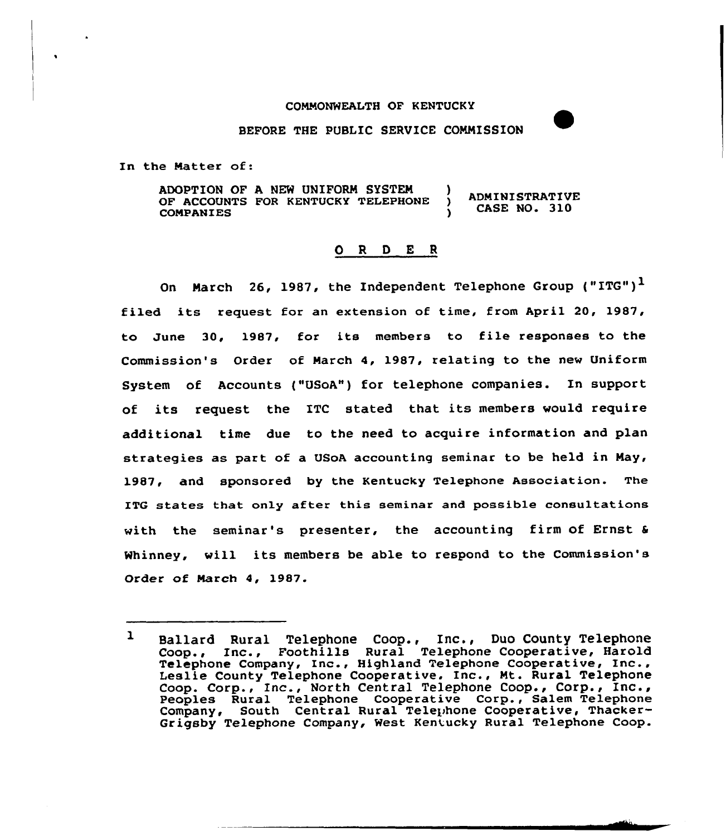## CONNONWEALTH OF KENTUCKY

## BEFORE THE PUBLIC SERVICE COMNISSION

In the Natter of:

ADOPTION OF A NEW UNIFORM SYSTEM )<br>OF ACCOUNTS FOR KENTUCKY TELEPHONE ) **ADMINISTRATIVE** OF ACCOUNTS FOR KENTUCKY TELEPHONE CASE NO. 310 **COMPANIES** 

## 0 <sup>R</sup> <sup>D</sup> E <sup>R</sup>

On March 26, 1987, the Independent Telephone Group ("ITG")<sup>1</sup> filed its request for an extension of time, from April 20, 1987, to June 30, 1987, for its members to file responses to the Commission's Order of Narch 4, 1987, relating to the new Uniform System of Accounts ("USoA") for telephone companies. In support of its request the ITC stated that its members would require additional time due to the need to acquire information and plan strategies as part of a USoA accounting seminar to be held in Nay, 1987, and sponsored by the Kentucky Telephone Association. The ITG states that only after this seminar and possible consultations with the seminar's presenter, the accounting firm of Ernst & Whinney, will its members be able to respond to the Commission's Order of Narch 4, 1987.

 $\mathbf{1}$ Ballard Rural Telephone Coop., Inc., Duo County Telephone Bariard Rural Terephone Coop., The , Buo County Terephone<br>Coop., Inc., Foothills Rural Telephone Cooperative, Harold Coop., Inc., roothliis kural Telephone Cooperative, haloid<br>Telephone Company, Inc., Highland Telephone Cooperative, Inc., Leslie County Telephone Cooperative, Inc., Mt. Rural Telephone Coop. Corp., Inc., North Central Telephone Coop., Corp., Inc., Peoples Rural Telephone Cooperative Corp., Salem Telephone Company, South Central Rural Telephone Cooperative, Thacker-Grigsby Telephone Company, West Kentucky Rural Telephone Coop.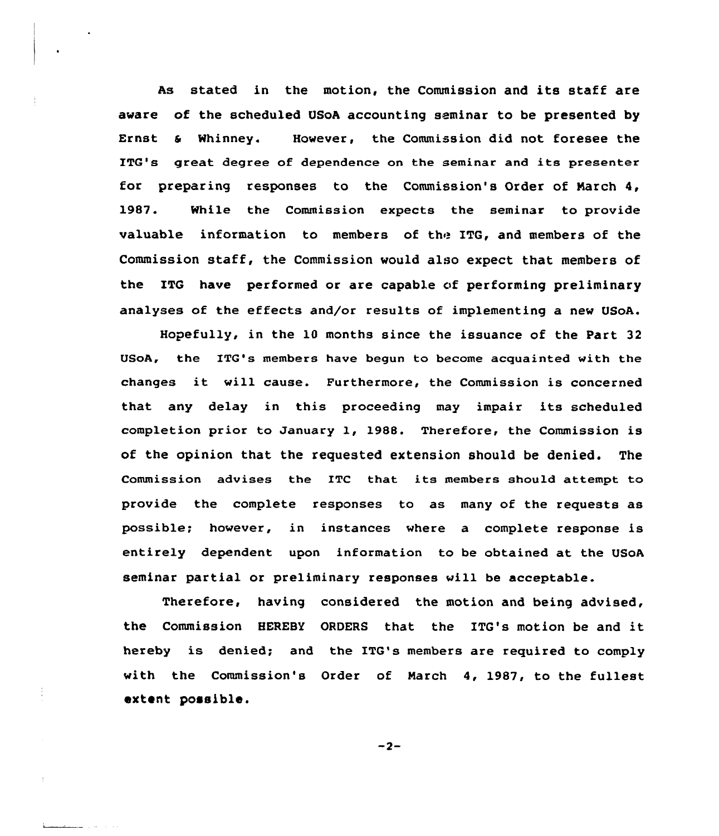As stated in the motion, the Commission and its staff are aware of the scheduled USoA accounting seminar to be presented by Ernst s Whinney. However, the Commission did not foresee the ITQ's great degree of dependence on the seminar and its presenter for preparing responses to the Commission's Order of Narch 4, 19&7. While the Commission expects the seminar to provide valuable information to members of the ITG, and members of the Commission staff, the Commission would also expect that members of the ITG have performed or are capable of performing preliminary analyses of the effects and/or results of implementing a new USoA.

Hopefully, in the 10 months since the issuance of the Part 32 USoA, the ITG's members have begun to become acquainted with the changes it will cause. Furthermore, the Commission is concerned that any delay in this proceeding may impair its scheduled completion prior to January 1, 1988. Therefore, the Commission is of the opinion that the requested extension should be denied. The Commission advises the ITC that its members should attempt to provide the complete responses to as many of the requests as possible; hovever, in instances where a complete response is entirely dependent upon information to be obtained at the USoA seminar partial or preliminary responses will be acceptable.

Therefore, having considered the motion and being advised, the Commission HEREBY ORDERS that the ITG's motion be and it hereby is denied; and the ITG's members are required to comply with the Commission's Order of March 4, 1987, to the fullest extent possible.

$$
-2-
$$